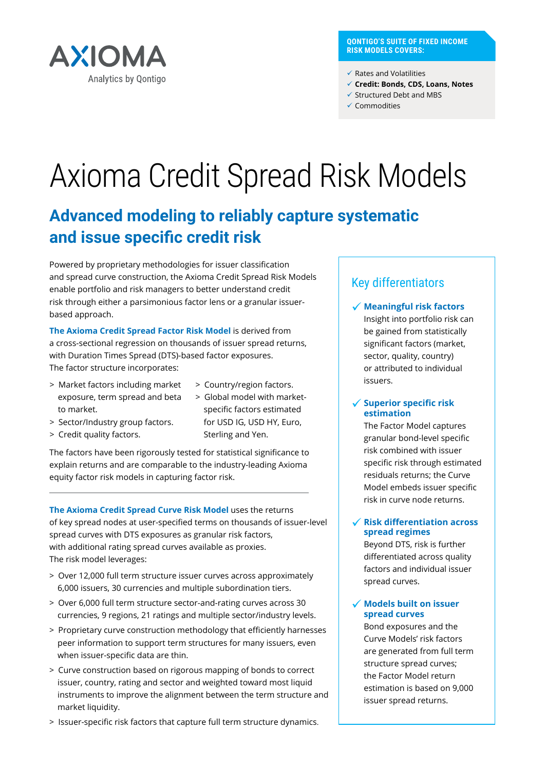

#### **QONTIGO'S SUITE OF FIXED INCOME RISK MODELS COVERS:**

 $\checkmark$  Rates and Volatilities

- ü **Credit: Bonds, CDS, Loans, Notes**
- $\checkmark$  Structured Debt and MBS
- $\checkmark$  Commodities

# Axioma Credit Spread Risk Models

# **Advanced modeling to reliably capture systematic and issue specific credit risk**

Powered by proprietary methodologies for issuer classification and spread curve construction, the Axioma Credit Spread Risk Models enable portfolio and risk managers to better understand credit risk through either a parsimonious factor lens or a granular issuerbased approach.

**The Axioma Credit Spread Factor Risk Model** is derived from a cross-sectional regression on thousands of issuer spread returns, with Duration Times Spread (DTS)-based factor exposures. The factor structure incorporates:

- > Market factors including market exposure, term spread and beta to market.
- > Country/region factors.
- > Sector/Industry group factors.
- > Credit quality factors.
- > Global model with marketspecific factors estimated for USD IG, USD HY, Euro, Sterling and Yen.

The factors have been rigorously tested for statistical significance to explain returns and are comparable to the industry-leading Axioma equity factor risk models in capturing factor risk.

**The Axioma Credit Spread Curve Risk Model** uses the returns of key spread nodes at user-specified terms on thousands of issuer-level spread curves with DTS exposures as granular risk factors, with additional rating spread curves available as proxies. The risk model leverages:

- > Over 12,000 full term structure issuer curves across approximately 6,000 issuers, 30 currencies and multiple subordination tiers.
- > Over 6,000 full term structure sector-and-rating curves across 30 currencies, 9 regions, 21 ratings and multiple sector/industry levels.
- > Proprietary curve construction methodology that efficiently harnesses peer information to support term structures for many issuers, even when issuer-specific data are thin.
- > Curve construction based on rigorous mapping of bonds to correct issuer, country, rating and sector and weighted toward most liquid instruments to improve the alignment between the term structure and market liquidity.
- > Issuer-specific risk factors that capture full term structure dynamics.

# Key differentiators

# **Meaningful risk factors**

Insight into portfolio risk can be gained from statistically significant factors (market, sector, quality, country) or attributed to individual issuers.

### **Superior specific risk estimation**

The Factor Model captures granular bond-level specific risk combined with issuer specific risk through estimated residuals returns; the Curve Model embeds issuer specific risk in curve node returns.

# **Risk differentiation across spread regimes**

Beyond DTS, risk is further differentiated across quality factors and individual issuer spread curves.

### **Models built on issuer spread curves**

Bond exposures and the Curve Models' risk factors are generated from full term structure spread curves; the Factor Model return estimation is based on 9,000 issuer spread returns.